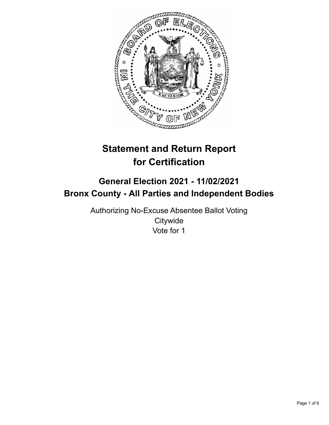

# **Statement and Return Report for Certification**

## **General Election 2021 - 11/02/2021 Bronx County - All Parties and Independent Bodies**

Authorizing No-Excuse Absentee Ballot Voting **Citywide** Vote for 1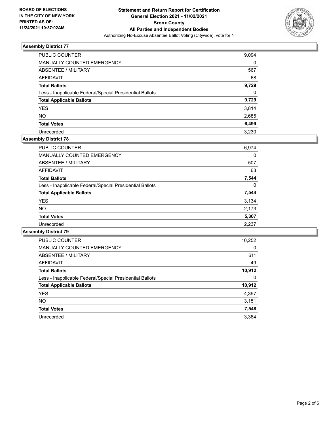

| PUBLIC COUNTER                                           | 9,094 |
|----------------------------------------------------------|-------|
| MANUALLY COUNTED EMERGENCY                               | 0     |
| ABSENTEE / MILITARY                                      | 567   |
| AFFIDAVIT                                                | 68    |
| <b>Total Ballots</b>                                     | 9,729 |
| Less - Inapplicable Federal/Special Presidential Ballots | 0     |
| <b>Total Applicable Ballots</b>                          | 9,729 |
| <b>YES</b>                                               | 3,814 |
| <b>NO</b>                                                | 2,685 |
| <b>Total Votes</b>                                       | 6,499 |
| Unrecorded                                               | 3.230 |

## **Assembly District 78**

| <b>PUBLIC COUNTER</b>                                    | 6,974    |
|----------------------------------------------------------|----------|
| <b>MANUALLY COUNTED EMERGENCY</b>                        | 0        |
| ABSENTEE / MILITARY                                      | 507      |
| AFFIDAVIT                                                | 63       |
| <b>Total Ballots</b>                                     | 7,544    |
| Less - Inapplicable Federal/Special Presidential Ballots | $\Omega$ |
| <b>Total Applicable Ballots</b>                          | 7,544    |
| <b>YES</b>                                               | 3,134    |
| NO.                                                      | 2,173    |
| <b>Total Votes</b>                                       | 5,307    |
| Unrecorded                                               | 2,237    |

| <b>PUBLIC COUNTER</b>                                    | 10,252   |
|----------------------------------------------------------|----------|
| <b>MANUALLY COUNTED EMERGENCY</b>                        | $\Omega$ |
| ABSENTEE / MILITARY                                      | 611      |
| <b>AFFIDAVIT</b>                                         | 49       |
| <b>Total Ballots</b>                                     | 10,912   |
| Less - Inapplicable Federal/Special Presidential Ballots | 0        |
| <b>Total Applicable Ballots</b>                          | 10,912   |
| <b>YES</b>                                               | 4,397    |
| <b>NO</b>                                                | 3,151    |
| <b>Total Votes</b>                                       | 7,548    |
| Unrecorded                                               | 3.364    |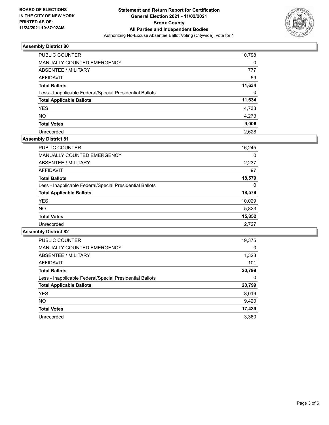

| <b>PUBLIC COUNTER</b>                                    | 10,798   |
|----------------------------------------------------------|----------|
| MANUALLY COUNTED EMERGENCY                               | 0        |
| ABSENTEE / MILITARY                                      | 777      |
| AFFIDAVIT                                                | 59       |
| <b>Total Ballots</b>                                     | 11,634   |
| Less - Inapplicable Federal/Special Presidential Ballots | $\Omega$ |
| <b>Total Applicable Ballots</b>                          | 11,634   |
| <b>YES</b>                                               | 4,733    |
| <b>NO</b>                                                | 4,273    |
| <b>Total Votes</b>                                       | 9,006    |
| Unrecorded                                               | 2.628    |

## **Assembly District 81**

| PUBLIC COUNTER                                           | 16,245 |
|----------------------------------------------------------|--------|
| <b>MANUALLY COUNTED EMERGENCY</b>                        | 0      |
| ABSENTEE / MILITARY                                      | 2,237  |
| AFFIDAVIT                                                | 97     |
| <b>Total Ballots</b>                                     | 18,579 |
| Less - Inapplicable Federal/Special Presidential Ballots | 0      |
| <b>Total Applicable Ballots</b>                          | 18,579 |
| <b>YES</b>                                               | 10,029 |
| NO.                                                      | 5,823  |
| <b>Total Votes</b>                                       | 15,852 |
| Unrecorded                                               | 2.727  |

| <b>PUBLIC COUNTER</b>                                    | 19,375   |
|----------------------------------------------------------|----------|
| <b>MANUALLY COUNTED EMERGENCY</b>                        | $\Omega$ |
| ABSENTEE / MILITARY                                      | 1,323    |
| <b>AFFIDAVIT</b>                                         | 101      |
| <b>Total Ballots</b>                                     | 20,799   |
| Less - Inapplicable Federal/Special Presidential Ballots | 0        |
| <b>Total Applicable Ballots</b>                          | 20,799   |
| <b>YES</b>                                               | 8,019    |
| NO.                                                      | 9,420    |
| <b>Total Votes</b>                                       | 17,439   |
| Unrecorded                                               | 3.360    |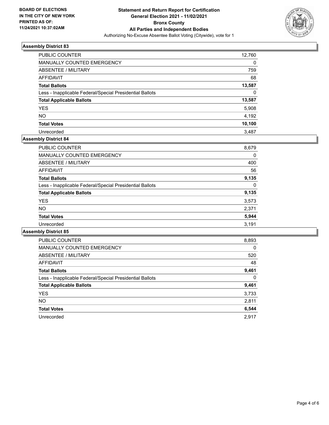

| PUBLIC COUNTER                                           | 12,760   |
|----------------------------------------------------------|----------|
| <b>MANUALLY COUNTED EMERGENCY</b>                        | 0        |
| ABSENTEE / MILITARY                                      | 759      |
| AFFIDAVIT                                                | 68       |
| <b>Total Ballots</b>                                     | 13,587   |
| Less - Inapplicable Federal/Special Presidential Ballots | $\Omega$ |
| <b>Total Applicable Ballots</b>                          | 13,587   |
| <b>YES</b>                                               | 5,908    |
| <b>NO</b>                                                | 4,192    |
| <b>Total Votes</b>                                       | 10,100   |
| Unrecorded                                               | 3.487    |

## **Assembly District 84**

| 8,679 |
|-------|
| 0     |
| 400   |
| 56    |
| 9,135 |
| 0     |
| 9,135 |
| 3,573 |
| 2,371 |
| 5,944 |
| 3,191 |
|       |

| <b>PUBLIC COUNTER</b>                                    | 8,893    |
|----------------------------------------------------------|----------|
| <b>MANUALLY COUNTED EMERGENCY</b>                        | $\Omega$ |
| ABSENTEE / MILITARY                                      | 520      |
| AFFIDAVIT                                                | 48       |
| <b>Total Ballots</b>                                     | 9,461    |
| Less - Inapplicable Federal/Special Presidential Ballots | 0        |
| <b>Total Applicable Ballots</b>                          | 9,461    |
| <b>YES</b>                                               | 3,733    |
| <b>NO</b>                                                | 2,811    |
| <b>Total Votes</b>                                       | 6,544    |
| Unrecorded                                               | 2.917    |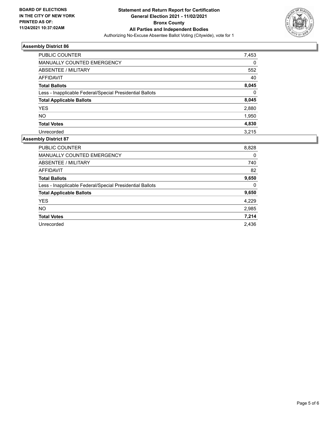

| PUBLIC COUNTER                                           | 7,453    |
|----------------------------------------------------------|----------|
| <b>MANUALLY COUNTED EMERGENCY</b>                        | 0        |
| ABSENTEE / MILITARY                                      | 552      |
| AFFIDAVIT                                                | 40       |
| <b>Total Ballots</b>                                     | 8,045    |
| Less - Inapplicable Federal/Special Presidential Ballots | $\Omega$ |
| <b>Total Applicable Ballots</b>                          | 8,045    |
| <b>YES</b>                                               | 2,880    |
| <b>NO</b>                                                | 1,950    |
| <b>Total Votes</b>                                       | 4,830    |
| Unrecorded                                               | 3.215    |

| <b>PUBLIC COUNTER</b>                                    | 8,828 |
|----------------------------------------------------------|-------|
| <b>MANUALLY COUNTED EMERGENCY</b>                        | 0     |
| ABSENTEE / MILITARY                                      | 740   |
| <b>AFFIDAVIT</b>                                         | 82    |
| <b>Total Ballots</b>                                     | 9,650 |
| Less - Inapplicable Federal/Special Presidential Ballots | 0     |
| <b>Total Applicable Ballots</b>                          | 9,650 |
| <b>YES</b>                                               | 4,229 |
| <b>NO</b>                                                | 2,985 |
| <b>Total Votes</b>                                       | 7,214 |
| Unrecorded                                               | 2.436 |